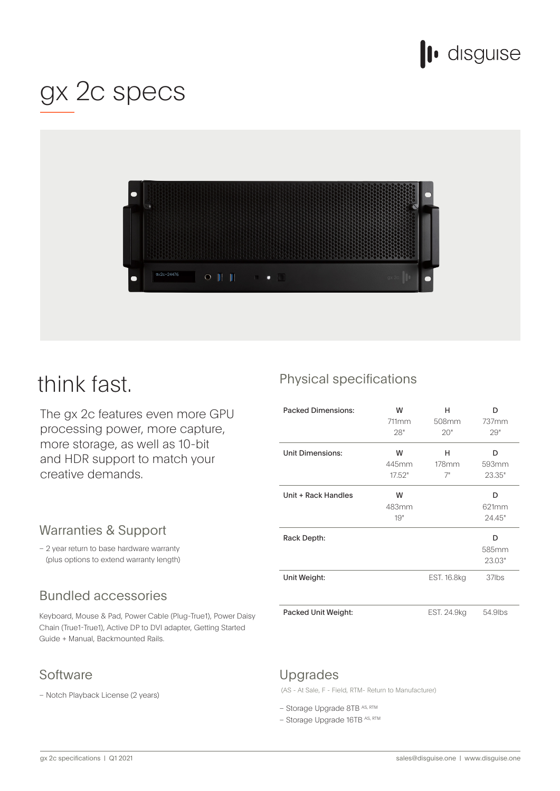

# gx 2c specs



# think fast.

The gx 2c features even more GPU processing power, more capture, more storage, as well as 10-bit and HDR support to match your creative demands.

### Warranties & Support

- 2 year return to base hardware warranty (plus options to extend warranty length)

# **Bundled accessories**

Keyboard, Mouse & Pad, Power Cable (Plug-True1), Power Daisy Chain (True1-True1), Active DP to DVI adapter, Getting Started Guide + Manual, Backmounted Rails.

## Software

- Notch Playback License (2 years)

# Physical specifications

| <b>Packed Dimensions:</b> | W<br>711mm<br>28"    | н<br>508mm<br>20" | D<br>737mm<br>29"    |
|---------------------------|----------------------|-------------------|----------------------|
| Unit Dimensions:          | W<br>445mm<br>17.52" | н<br>178mm<br>7"  | D<br>593mm<br>23.35" |
| Unit + Rack Handles       | W<br>483mm<br>19"    |                   | D<br>621mm<br>24.45" |
| Rack Depth:               |                      |                   | D<br>585mm<br>23.03" |
| Unit Weight:              |                      | EST. 16.8kg       | 37lbs                |
| Packed Unit Weight:       |                      | EST. 24.9kg       | 54.9lbs              |

#### Upgrades

(AS - At Sale, F - Field, RTM - Return to Manufacturer)

- Storage Upgrade 8TB AS, RTM
- $-$  Storage Upgrade 16TB AS, RTM